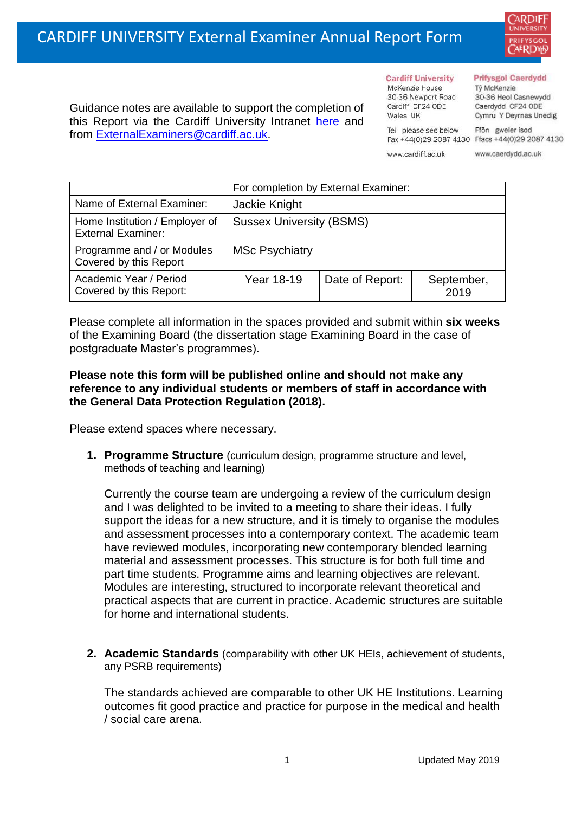

Guidance notes are available to support the completion of this Report via the Cardiff University Intranet [here](https://intranet.cardiff.ac.uk/staff/teaching-and-supporting-students/exams-and-assessment/exam-boards-and-external-examiners/for-current-external-examiners/external-examiners-reports) and from [ExternalExaminers@cardiff.ac.uk.](mailto:ExternalExaminers@cardiff.ac.uk)

**Cardiff University** McKenzie House 30-36 Newport Road Cardiff CF24 ODE

Wales UK

## **Prifysgol Caerdydd**

Từ McKenzie 30-36 Heol Casnewydd Caerdydd CF24 ODE Cymru Y Deyrnas Unedig

Ffôn gweler isod Fax +44(0)29 2087 4130 Ffacs +44(0)29 2087 4130

www.cardiff.ac.uk

Tel please see below

www.caerdydd.ac.uk

|                                                             | For completion by External Examiner: |                 |                    |  |  |
|-------------------------------------------------------------|--------------------------------------|-----------------|--------------------|--|--|
| Name of External Examiner:                                  | Jackie Knight                        |                 |                    |  |  |
| Home Institution / Employer of<br><b>External Examiner:</b> | <b>Sussex University (BSMS)</b>      |                 |                    |  |  |
| Programme and / or Modules<br>Covered by this Report        | <b>MSc Psychiatry</b>                |                 |                    |  |  |
| Academic Year / Period<br>Covered by this Report:           | Year 18-19                           | Date of Report: | September,<br>2019 |  |  |

Please complete all information in the spaces provided and submit within **six weeks** of the Examining Board (the dissertation stage Examining Board in the case of postgraduate Master's programmes).

## **Please note this form will be published online and should not make any reference to any individual students or members of staff in accordance with the General Data Protection Regulation (2018).**

Please extend spaces where necessary.

**1. Programme Structure** (curriculum design, programme structure and level, methods of teaching and learning)

Currently the course team are undergoing a review of the curriculum design and I was delighted to be invited to a meeting to share their ideas. I fully support the ideas for a new structure, and it is timely to organise the modules and assessment processes into a contemporary context. The academic team have reviewed modules, incorporating new contemporary blended learning material and assessment processes. This structure is for both full time and part time students. Programme aims and learning objectives are relevant. Modules are interesting, structured to incorporate relevant theoretical and practical aspects that are current in practice. Academic structures are suitable for home and international students.

**2. Academic Standards** (comparability with other UK HEIs, achievement of students, any PSRB requirements)

The standards achieved are comparable to other UK HE Institutions. Learning outcomes fit good practice and practice for purpose in the medical and health / social care arena.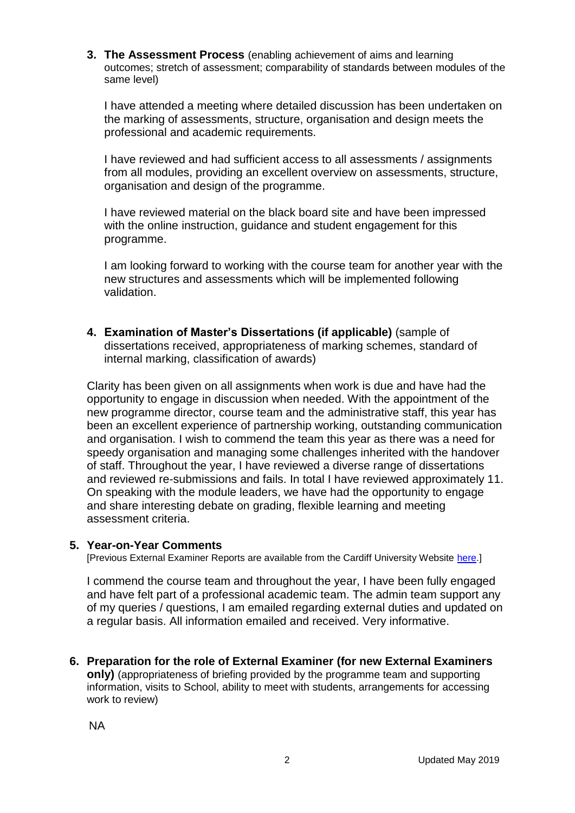**3. The Assessment Process** (enabling achievement of aims and learning outcomes; stretch of assessment; comparability of standards between modules of the same level)

I have attended a meeting where detailed discussion has been undertaken on the marking of assessments, structure, organisation and design meets the professional and academic requirements.

I have reviewed and had sufficient access to all assessments / assignments from all modules, providing an excellent overview on assessments, structure, organisation and design of the programme.

I have reviewed material on the black board site and have been impressed with the online instruction, guidance and student engagement for this programme.

I am looking forward to working with the course team for another year with the new structures and assessments which will be implemented following validation.

**4. Examination of Master's Dissertations (if applicable)** (sample of dissertations received, appropriateness of marking schemes, standard of internal marking, classification of awards)

Clarity has been given on all assignments when work is due and have had the opportunity to engage in discussion when needed. With the appointment of the new programme director, course team and the administrative staff, this year has been an excellent experience of partnership working, outstanding communication and organisation. I wish to commend the team this year as there was a need for speedy organisation and managing some challenges inherited with the handover of staff. Throughout the year, I have reviewed a diverse range of dissertations and reviewed re-submissions and fails. In total I have reviewed approximately 11. On speaking with the module leaders, we have had the opportunity to engage and share interesting debate on grading, flexible learning and meeting assessment criteria.

## **5. Year-on-Year Comments**

[Previous External Examiner Reports are available from the Cardiff University Website [here.](https://www.cardiff.ac.uk/public-information/quality-and-standards/external-examiner-reports)]

I commend the course team and throughout the year, I have been fully engaged and have felt part of a professional academic team. The admin team support any of my queries / questions, I am emailed regarding external duties and updated on a regular basis. All information emailed and received. Very informative.

**6. Preparation for the role of External Examiner (for new External Examiners only)** (appropriateness of briefing provided by the programme team and supporting information, visits to School, ability to meet with students, arrangements for accessing work to review)

NA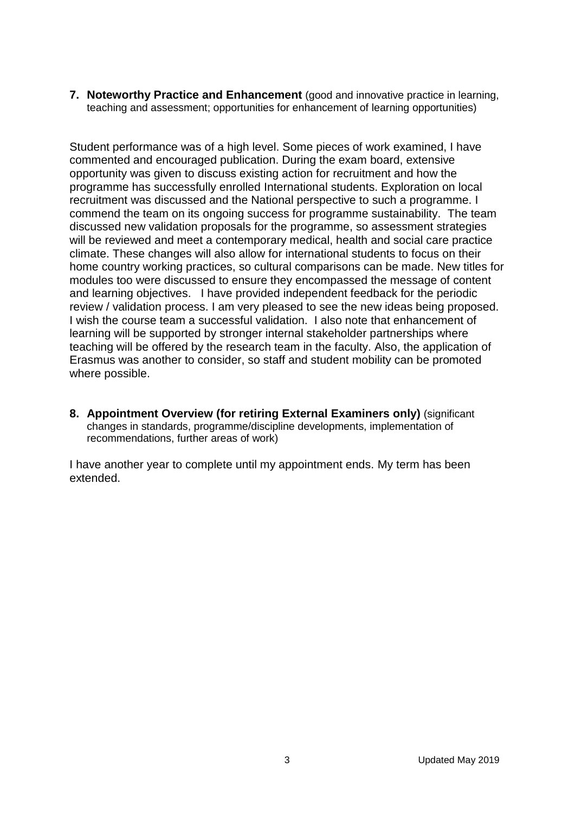**7. Noteworthy Practice and Enhancement** (good and innovative practice in learning, teaching and assessment; opportunities for enhancement of learning opportunities)

Student performance was of a high level. Some pieces of work examined, I have commented and encouraged publication. During the exam board, extensive opportunity was given to discuss existing action for recruitment and how the programme has successfully enrolled International students. Exploration on local recruitment was discussed and the National perspective to such a programme. I commend the team on its ongoing success for programme sustainability. The team discussed new validation proposals for the programme, so assessment strategies will be reviewed and meet a contemporary medical, health and social care practice climate. These changes will also allow for international students to focus on their home country working practices, so cultural comparisons can be made. New titles for modules too were discussed to ensure they encompassed the message of content and learning objectives. I have provided independent feedback for the periodic review / validation process. I am very pleased to see the new ideas being proposed. I wish the course team a successful validation. I also note that enhancement of learning will be supported by stronger internal stakeholder partnerships where teaching will be offered by the research team in the faculty. Also, the application of Erasmus was another to consider, so staff and student mobility can be promoted where possible.

**8. Appointment Overview (for retiring External Examiners only)** (significant changes in standards, programme/discipline developments, implementation of recommendations, further areas of work)

I have another year to complete until my appointment ends. My term has been extended.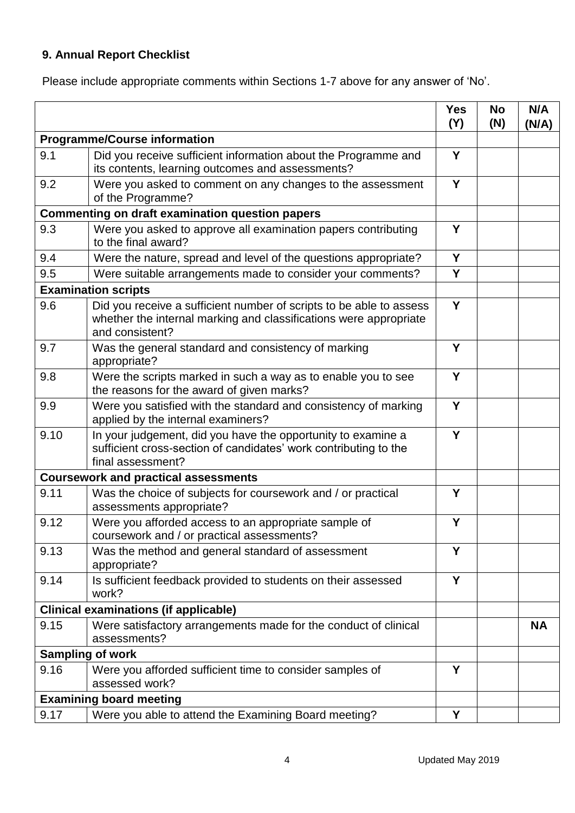## **9. Annual Report Checklist**

Please include appropriate comments within Sections 1-7 above for any answer of 'No'.

|                                                        |                                                                                                                                                             | <b>Yes</b><br>(Y) | <b>No</b><br>(N) | N/A<br>(N/A) |
|--------------------------------------------------------|-------------------------------------------------------------------------------------------------------------------------------------------------------------|-------------------|------------------|--------------|
| <b>Programme/Course information</b>                    |                                                                                                                                                             |                   |                  |              |
| 9.1                                                    | Did you receive sufficient information about the Programme and<br>its contents, learning outcomes and assessments?                                          | Y                 |                  |              |
| 9.2                                                    | Were you asked to comment on any changes to the assessment<br>of the Programme?                                                                             | Y                 |                  |              |
| <b>Commenting on draft examination question papers</b> |                                                                                                                                                             |                   |                  |              |
| 9.3                                                    | Were you asked to approve all examination papers contributing<br>to the final award?                                                                        | Y                 |                  |              |
| 9.4                                                    | Were the nature, spread and level of the questions appropriate?                                                                                             | Y                 |                  |              |
| 9.5                                                    | Were suitable arrangements made to consider your comments?                                                                                                  | Y                 |                  |              |
|                                                        | <b>Examination scripts</b>                                                                                                                                  |                   |                  |              |
| 9.6                                                    | Did you receive a sufficient number of scripts to be able to assess<br>whether the internal marking and classifications were appropriate<br>and consistent? | Y                 |                  |              |
| 9.7                                                    | Was the general standard and consistency of marking<br>appropriate?                                                                                         | Y                 |                  |              |
| 9.8                                                    | Were the scripts marked in such a way as to enable you to see<br>the reasons for the award of given marks?                                                  | Y                 |                  |              |
| 9.9                                                    | Were you satisfied with the standard and consistency of marking<br>applied by the internal examiners?                                                       | Y                 |                  |              |
| 9.10                                                   | In your judgement, did you have the opportunity to examine a<br>sufficient cross-section of candidates' work contributing to the<br>final assessment?       | Y                 |                  |              |
|                                                        | <b>Coursework and practical assessments</b>                                                                                                                 |                   |                  |              |
| 9.11                                                   | Was the choice of subjects for coursework and / or practical<br>assessments appropriate?                                                                    | Y                 |                  |              |
| 9.12                                                   | Were you afforded access to an appropriate sample of<br>coursework and / or practical assessments?                                                          | Y                 |                  |              |
| 9.13                                                   | Was the method and general standard of assessment<br>appropriate?                                                                                           | Y                 |                  |              |
| 9.14                                                   | Is sufficient feedback provided to students on their assessed<br>work?                                                                                      | Y                 |                  |              |
| <b>Clinical examinations (if applicable)</b>           |                                                                                                                                                             |                   |                  |              |
| 9.15                                                   | Were satisfactory arrangements made for the conduct of clinical<br>assessments?                                                                             |                   |                  | <b>NA</b>    |
| <b>Sampling of work</b>                                |                                                                                                                                                             |                   |                  |              |
| 9.16                                                   | Were you afforded sufficient time to consider samples of<br>assessed work?                                                                                  | Y                 |                  |              |
|                                                        | <b>Examining board meeting</b>                                                                                                                              |                   |                  |              |
| 9.17                                                   | Were you able to attend the Examining Board meeting?                                                                                                        | Υ                 |                  |              |